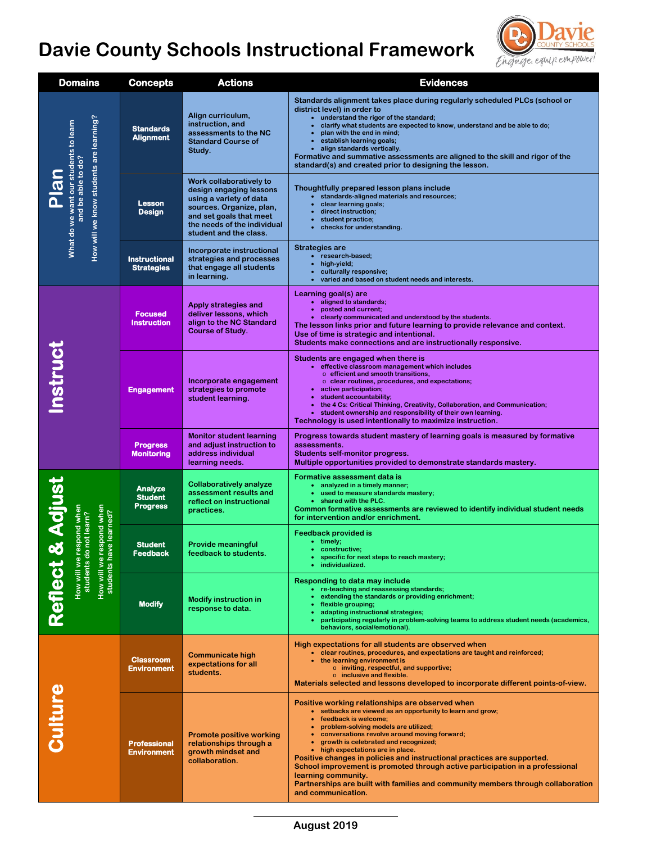# **Davie County Schools Instructional Framework**



| <b>Domains</b>                                                                                                                         | <b>Concepts</b>                                     | <b>Actions</b>                                                                                                                                                                                | <b>Evidences</b>                                                                                                                                                                                                                                                                                                                                                                                                                                                                                                                                                                                               |
|----------------------------------------------------------------------------------------------------------------------------------------|-----------------------------------------------------|-----------------------------------------------------------------------------------------------------------------------------------------------------------------------------------------------|----------------------------------------------------------------------------------------------------------------------------------------------------------------------------------------------------------------------------------------------------------------------------------------------------------------------------------------------------------------------------------------------------------------------------------------------------------------------------------------------------------------------------------------------------------------------------------------------------------------|
| How will we know students are learning?<br>What do we want our students to learn<br>and be able to do?<br>Plan                         | <b>Standards</b><br><b>Alignment</b>                | Align curriculum,<br>instruction, and<br>assessments to the NC<br><b>Standard Course of</b><br>Study.                                                                                         | Standards alignment takes place during regularly scheduled PLCs (school or<br>district level) in order to<br>• understand the rigor of the standard;<br>clarify what students are expected to know, understand and be able to do;<br>plan with the end in mind;<br>establish learning goals;<br>• align standards vertically.<br>Formative and summative assessments are aligned to the skill and rigor of the<br>standard(s) and created prior to designing the lesson.                                                                                                                                       |
|                                                                                                                                        | <b>Lesson</b><br><b>Design</b>                      | Work collaboratively to<br>design engaging lessons<br>using a variety of data<br>sources. Organize, plan,<br>and set goals that meet<br>the needs of the individual<br>student and the class. | Thoughtfully prepared lesson plans include<br>• standards-aligned materials and resources;<br>clear learning goals;<br>direct instruction;<br>student practice;<br>checks for understanding.                                                                                                                                                                                                                                                                                                                                                                                                                   |
|                                                                                                                                        | <b>Instructional</b><br><b>Strategies</b>           | Incorporate instructional<br>strategies and processes<br>that engage all students<br>in learning.                                                                                             | <b>Strategies are</b><br>• research-based;<br>high-yield;<br>culturally responsive;<br>• varied and based on student needs and interests.                                                                                                                                                                                                                                                                                                                                                                                                                                                                      |
| nstruc                                                                                                                                 | <b>Focused</b><br><b>Instruction</b>                | Apply strategies and<br>deliver lessons, which<br>align to the NC Standard<br><b>Course of Study.</b>                                                                                         | Learning goal(s) are<br>• aligned to standards;<br>posted and current;<br>$\bullet$<br>• clearly communicated and understood by the students.<br>The lesson links prior and future learning to provide relevance and context.<br>Use of time is strategic and intentional.<br>Students make connections and are instructionally responsive.                                                                                                                                                                                                                                                                    |
|                                                                                                                                        | <b>Engagement</b>                                   | Incorporate engagement<br>strategies to promote<br>student learning.                                                                                                                          | Students are engaged when there is<br>• effective classroom management which includes<br>o efficient and smooth transitions,<br>$\circ$ clear routines, procedures, and expectations;<br>• active participation;<br>student accountability;<br>$\bullet$<br>the 4 Cs: Critical Thinking, Creativity, Collaboration, and Communication;<br>• student ownership and responsibility of their own learning.<br>Technology is used intentionally to maximize instruction.                                                                                                                                           |
|                                                                                                                                        | <b>Progress</b><br><b>Monitoring</b>                | <b>Monitor student learning</b><br>and adjust instruction to<br>address individual<br>learning needs.                                                                                         | Progress towards student mastery of learning goals is measured by formative<br>assessments.<br>Students self-monitor progress.<br>Multiple opportunities provided to demonstrate standards mastery.                                                                                                                                                                                                                                                                                                                                                                                                            |
| & Adjust<br>espond when<br>we learned?<br>ow will we respond when<br>students do not learn?<br>How will we re<br>students hav<br>colle | <b>Analyze</b><br><b>Student</b><br><b>Progress</b> | <b>Collaboratively analyze</b><br>assessment results and<br>reflect on instructional<br>practices.                                                                                            | Formative assessment data is<br>• analyzed in a timely manner;<br>• used to measure standards mastery;<br>• shared with the PLC.<br>Common formative assessments are reviewed to identify individual student needs<br>for intervention and/or enrichment.                                                                                                                                                                                                                                                                                                                                                      |
|                                                                                                                                        | <b>Student</b><br><b>Feedback</b>                   | <b>Provide meaningful</b><br>feedback to students.                                                                                                                                            | <b>Feedback provided is</b><br>• timely;<br>• constructive;<br>• specific for next steps to reach mastery;<br>individualized.                                                                                                                                                                                                                                                                                                                                                                                                                                                                                  |
|                                                                                                                                        | <b>Modify</b>                                       | <b>Modify instruction in</b><br>response to data.                                                                                                                                             | Responding to data may include<br>• re-teaching and reassessing standards;<br>extending the standards or providing enrichment;<br>flexible grouping;<br>adapting instructional strategies;<br>participating regularly in problem-solving teams to address student needs (academics,<br>behaviors, social/emotional).                                                                                                                                                                                                                                                                                           |
| <b>Sulture</b>                                                                                                                         | <b>Classroom</b><br><b>Environment</b>              | <b>Communicate high</b><br>expectations for all<br>students.                                                                                                                                  | High expectations for all students are observed when<br>• clear routines, procedures, and expectations are taught and reinforced;<br>• the learning environment is<br>o inviting, respectful, and supportive;<br>o inclusive and flexible.<br>Materials selected and lessons developed to incorporate different points-of-view.                                                                                                                                                                                                                                                                                |
|                                                                                                                                        | <b>Professional</b><br><b>Environment</b>           | <b>Promote positive working</b><br>relationships through a<br>growth mindset and<br>collaboration.                                                                                            | Positive working relationships are observed when<br>• setbacks are viewed as an opportunity to learn and grow;<br>• feedback is welcome;<br>problem-solving models are utilized;<br>• conversations revolve around moving forward;<br>• growth is celebrated and recognized;<br>• high expectations are in place.<br>Positive changes in policies and instructional practices are supported.<br>School improvement is promoted through active participation in a professional<br>learning community.<br>Partnerships are built with families and community members through collaboration<br>and communication. |